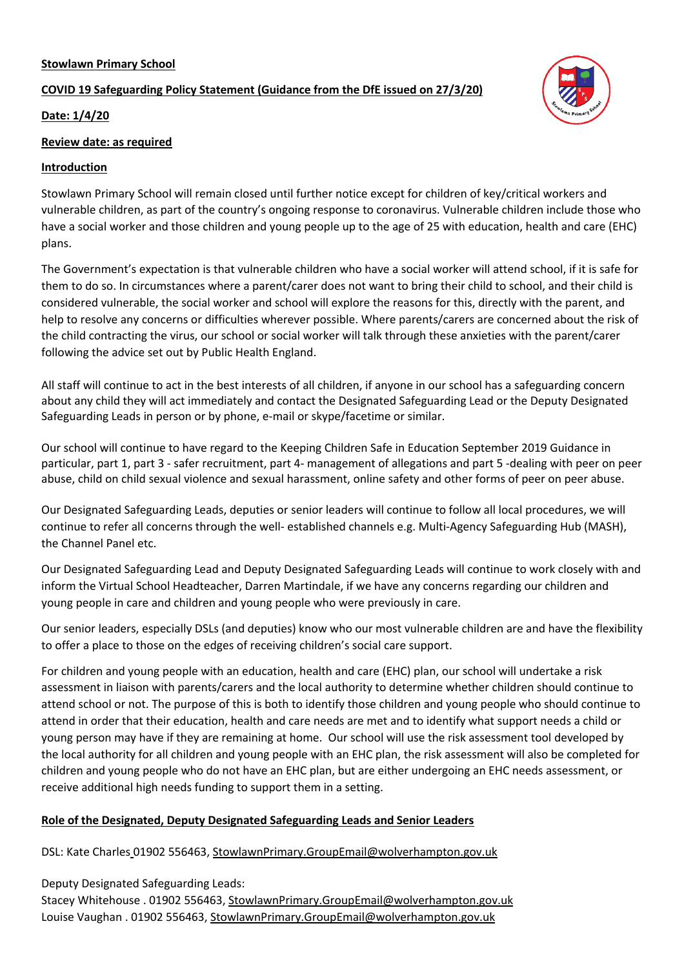# **Stowlawn Primary School**

# **COVID 19 Safeguarding Policy Statement (Guidance from the DfE issued on 27/3/20)**



## **Date: 1/4/20**

## **Review date: as required**

## **Introduction**

Stowlawn Primary School will remain closed until further notice except for children of key/critical workers and vulnerable children, as part of the country's ongoing response to coronavirus. Vulnerable children include those who have a social worker and those children and young people up to the age of 25 with education, health and care (EHC) plans.

The Government's expectation is that vulnerable children who have a social worker will attend school, if it is safe for them to do so. In circumstances where a parent/carer does not want to bring their child to school, and their child is considered vulnerable, the social worker and school will explore the reasons for this, directly with the parent, and help to resolve any concerns or difficulties wherever possible. Where parents/carers are concerned about the risk of the child contracting the virus, our school or social worker will talk through these anxieties with the parent/carer following the advice set out by Public Health England.

All staff will continue to act in the best interests of all children, if anyone in our school has a safeguarding concern about any child they will act immediately and contact the Designated Safeguarding Lead or the Deputy Designated Safeguarding Leads in person or by phone, e-mail or skype/facetime or similar.

Our school will continue to have regard to the Keeping Children Safe in Education September 2019 Guidance in particular, part 1, part 3 - safer recruitment, part 4- management of allegations and part 5 -dealing with peer on peer abuse, child on child sexual violence and sexual harassment, online safety and other forms of peer on peer abuse.

Our Designated Safeguarding Leads, deputies or senior leaders will continue to follow all local procedures, we will continue to refer all concerns through the well- established channels e.g. Multi-Agency Safeguarding Hub (MASH), the Channel Panel etc.

Our Designated Safeguarding Lead and Deputy Designated Safeguarding Leads will continue to work closely with and inform the Virtual School Headteacher, Darren Martindale, if we have any concerns regarding our children and young people in care and children and young people who were previously in care.

Our senior leaders, especially DSLs (and deputies) know who our most vulnerable children are and have the flexibility to offer a place to those on the edges of receiving children's social care support.

For children and young people with an education, health and care (EHC) plan, our school will undertake a risk assessment in liaison with parents/carers and the local authority to determine whether children should continue to attend school or not. The purpose of this is both to identify those children and young people who should continue to attend in order that their education, health and care needs are met and to identify what support needs a child or young person may have if they are remaining at home. Our school will use the risk assessment tool developed by the local authority for all children and young people with an EHC plan, the risk assessment will also be completed for children and young people who do not have an EHC plan, but are either undergoing an EHC needs assessment, or receive additional high needs funding to support them in a setting.

# **Role of the Designated, Deputy Designated Safeguarding Leads and Senior Leaders**

DSL: Kate Charles 01902 556463, StowlawnPrimary.GroupEmail@wolverhampton.gov.uk

Deputy Designated Safeguarding Leads: Stacey Whitehouse . 01902 556463, StowlawnPrimary.GroupEmail@wolverhampton.gov.uk Louise Vaughan . 01902 556463, StowlawnPrimary.GroupEmail@wolverhampton.gov.uk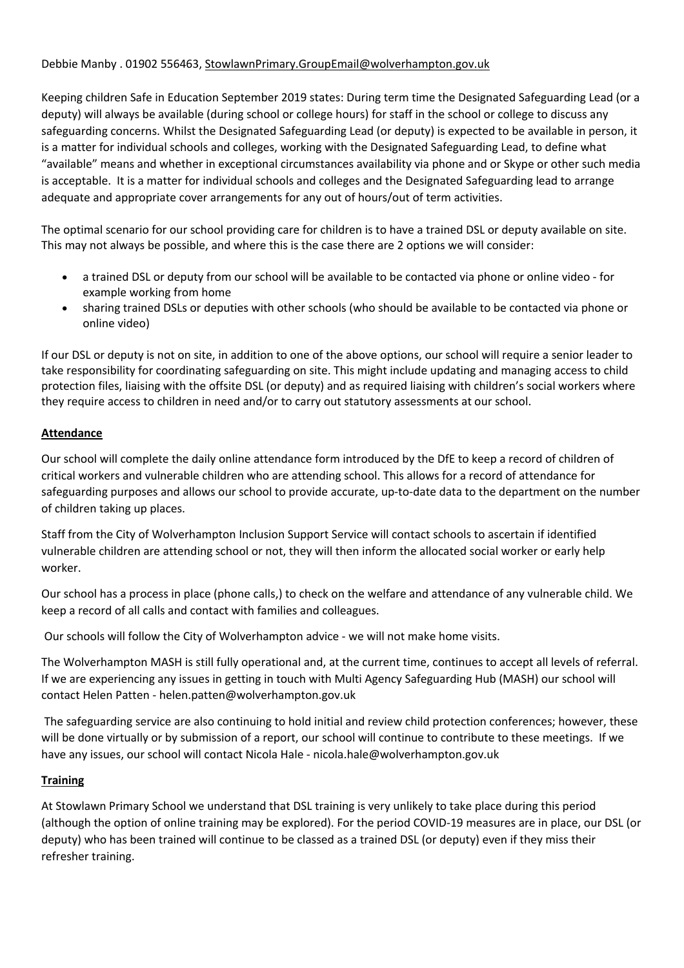# Debbie Manby . 01902 556463, StowlawnPrimary.GroupEmail@wolverhampton.gov.uk

Keeping children Safe in Education September 2019 states: During term time the Designated Safeguarding Lead (or a deputy) will always be available (during school or college hours) for staff in the school or college to discuss any safeguarding concerns. Whilst the Designated Safeguarding Lead (or deputy) is expected to be available in person, it is a matter for individual schools and colleges, working with the Designated Safeguarding Lead, to define what "available" means and whether in exceptional circumstances availability via phone and or Skype or other such media is acceptable. It is a matter for individual schools and colleges and the Designated Safeguarding lead to arrange adequate and appropriate cover arrangements for any out of hours/out of term activities.

The optimal scenario for our school providing care for children is to have a trained DSL or deputy available on site. This may not always be possible, and where this is the case there are 2 options we will consider:

- a trained DSL or deputy from our school will be available to be contacted via phone or online video for example working from home
- sharing trained DSLs or deputies with other schools (who should be available to be contacted via phone or online video)

If our DSL or deputy is not on site, in addition to one of the above options, our school will require a senior leader to take responsibility for coordinating safeguarding on site. This might include updating and managing access to child protection files, liaising with the offsite DSL (or deputy) and as required liaising with children's social workers where they require access to children in need and/or to carry out statutory assessments at our school.

## **Attendance**

Our school will complete the daily online attendance form introduced by the DfE to keep a record of children of critical workers and vulnerable children who are attending school. This allows for a record of attendance for safeguarding purposes and allows our school to provide accurate, up-to-date data to the department on the number of children taking up places.

Staff from the City of Wolverhampton Inclusion Support Service will contact schools to ascertain if identified vulnerable children are attending school or not, they will then inform the allocated social worker or early help worker.

Our school has a process in place (phone calls,) to check on the welfare and attendance of any vulnerable child. We keep a record of all calls and contact with families and colleagues.

Our schools will follow the City of Wolverhampton advice - we will not make home visits.

The Wolverhampton MASH is still fully operational and, at the current time, continues to accept all levels of referral. If we are experiencing any issues in getting in touch with Multi Agency Safeguarding Hub (MASH) our school will contact Helen Patten - helen.patten@wolverhampton.gov.uk

The safeguarding service are also continuing to hold initial and review child protection conferences; however, these will be done virtually or by submission of a report, our school will continue to contribute to these meetings. If we have any issues, our school will contact Nicola Hale - nicola.hale@wolverhampton.gov.uk

#### **Training**

At Stowlawn Primary School we understand that DSL training is very unlikely to take place during this period (although the option of online training may be explored). For the period COVID-19 measures are in place, our DSL (or deputy) who has been trained will continue to be classed as a trained DSL (or deputy) even if they miss their refresher training.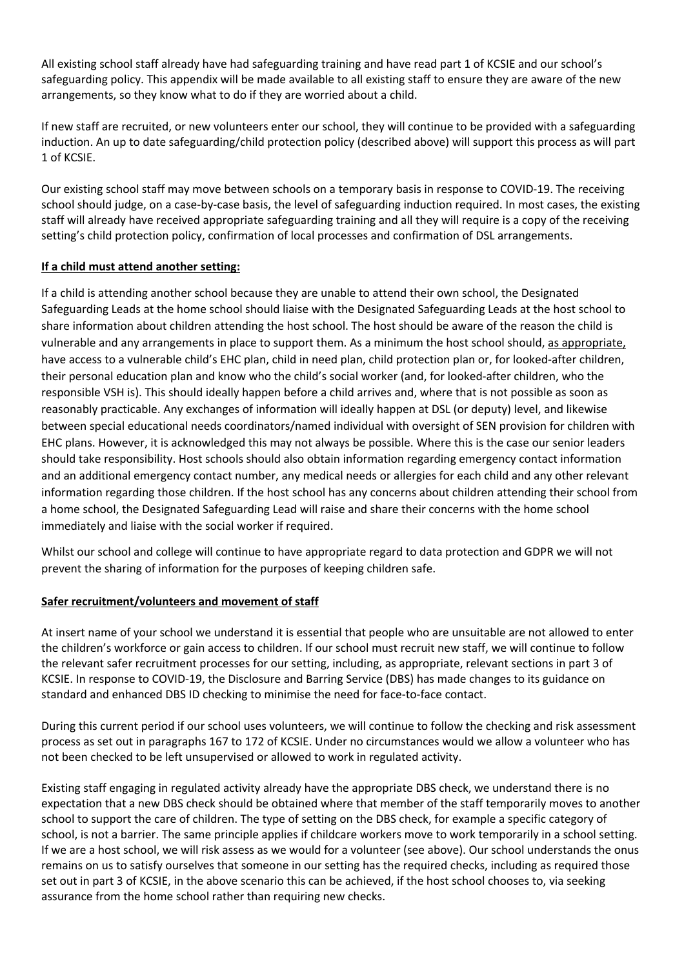All existing school staff already have had safeguarding training and have read part 1 of KCSIE and our school's safeguarding policy. This appendix will be made available to all existing staff to ensure they are aware of the new arrangements, so they know what to do if they are worried about a child.

If new staff are recruited, or new volunteers enter our school, they will continue to be provided with a safeguarding induction. An up to date safeguarding/child protection policy (described above) will support this process as will part 1 of KCSIE.

Our existing school staff may move between schools on a temporary basis in response to COVID-19. The receiving school should judge, on a case-by-case basis, the level of safeguarding induction required. In most cases, the existing staff will already have received appropriate safeguarding training and all they will require is a copy of the receiving setting's child protection policy, confirmation of local processes and confirmation of DSL arrangements.

# **If a child must attend another setting:**

If a child is attending another school because they are unable to attend their own school, the Designated Safeguarding Leads at the home school should liaise with the Designated Safeguarding Leads at the host school to share information about children attending the host school. The host should be aware of the reason the child is vulnerable and any arrangements in place to support them. As a minimum the host school should, as appropriate, have access to a vulnerable child's EHC plan, child in need plan, child protection plan or, for looked-after children, their personal education plan and know who the child's social worker (and, for looked-after children, who the responsible VSH is). This should ideally happen before a child arrives and, where that is not possible as soon as reasonably practicable. Any exchanges of information will ideally happen at DSL (or deputy) level, and likewise between special educational needs coordinators/named individual with oversight of SEN provision for children with EHC plans. However, it is acknowledged this may not always be possible. Where this is the case our senior leaders should take responsibility. Host schools should also obtain information regarding emergency contact information and an additional emergency contact number, any medical needs or allergies for each child and any other relevant information regarding those children. If the host school has any concerns about children attending their school from a home school, the Designated Safeguarding Lead will raise and share their concerns with the home school immediately and liaise with the social worker if required.

Whilst our school and college will continue to have appropriate regard to data protection and GDPR we will not prevent the sharing of information for the purposes of keeping children safe.

# **Safer recruitment/volunteers and movement of staff**

At insert name of your school we understand it is essential that people who are unsuitable are not allowed to enter the children's workforce or gain access to children. If our school must recruit new staff, we will continue to follow the relevant safer recruitment processes for our setting, including, as appropriate, relevant sections in part 3 of KCSIE. In response to COVID-19, the Disclosure and Barring Service (DBS) has made changes to its guidance on standard and enhanced DBS ID checking to minimise the need for face-to-face contact.

During this current period if our school uses volunteers, we will continue to follow the checking and risk assessment process as set out in paragraphs 167 to 172 of KCSIE. Under no circumstances would we allow a volunteer who has not been checked to be left unsupervised or allowed to work in regulated activity.

Existing staff engaging in regulated activity already have the appropriate DBS check, we understand there is no expectation that a new DBS check should be obtained where that member of the staff temporarily moves to another school to support the care of children. The type of setting on the DBS check, for example a specific category of school, is not a barrier. The same principle applies if childcare workers move to work temporarily in a school setting. If we are a host school, we will risk assess as we would for a volunteer (see above). Our school understands the onus remains on us to satisfy ourselves that someone in our setting has the required checks, including as required those set out in part 3 of KCSIE, in the above scenario this can be achieved, if the host school chooses to, via seeking assurance from the home school rather than requiring new checks.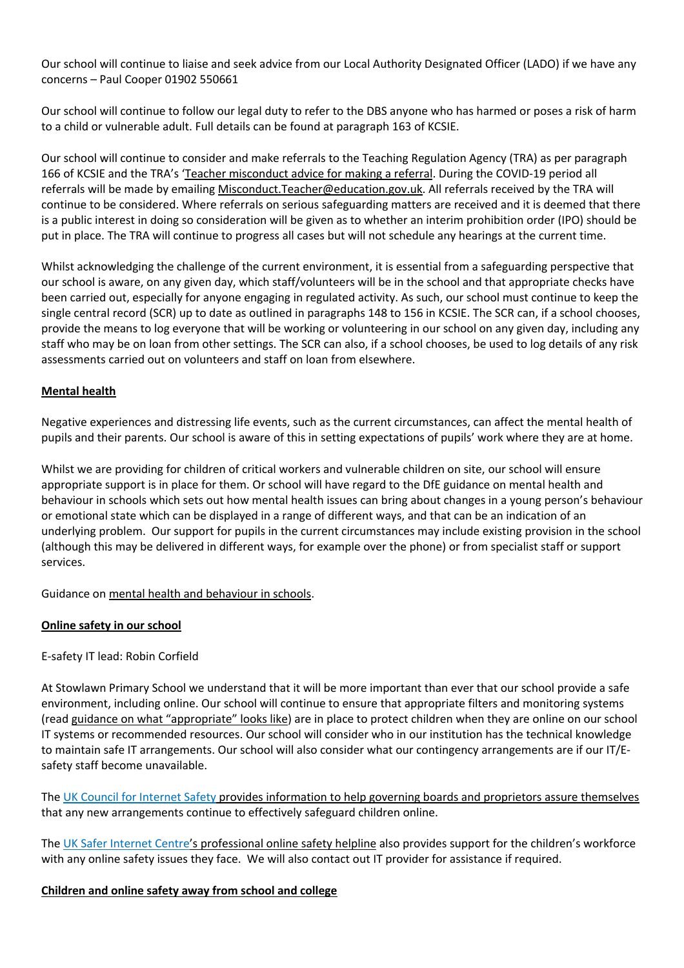Our school will continue to liaise and seek advice from our Local Authority Designated Officer (LADO) if we have any concerns – Paul Cooper 01902 550661

Our school will continue to follow our legal duty to refer to the DBS anyone who has harmed or poses a risk of harm to a child or vulnerable adult. Full details can be found at paragraph 163 of KCSIE.

Our school will continue to consider and make referrals to the Teaching Regulation Agency (TRA) as per paragraph 166 of KCSIE and the TRA's 'Teacher misconduct advice for making a referral. During the COVID-19 period all referrals will be made by emailing Misconduct.Teacher@education.gov.uk. All referrals received by the TRA will continue to be considered. Where referrals on serious safeguarding matters are received and it is deemed that there is a public interest in doing so consideration will be given as to whether an interim prohibition order (IPO) should be put in place. The TRA will continue to progress all cases but will not schedule any hearings at the current time.

Whilst acknowledging the challenge of the current environment, it is essential from a safeguarding perspective that our school is aware, on any given day, which staff/volunteers will be in the school and that appropriate checks have been carried out, especially for anyone engaging in regulated activity. As such, our school must continue to keep the single central record (SCR) up to date as outlined in paragraphs 148 to 156 in KCSIE. The SCR can, if a school chooses, provide the means to log everyone that will be working or volunteering in our school on any given day, including any staff who may be on loan from other settings. The SCR can also, if a school chooses, be used to log details of any risk assessments carried out on volunteers and staff on loan from elsewhere.

## **Mental health**

Negative experiences and distressing life events, such as the current circumstances, can affect the mental health of pupils and their parents. Our school is aware of this in setting expectations of pupils' work where they are at home.

Whilst we are providing for children of critical workers and vulnerable children on site, our school will ensure appropriate support is in place for them. Or school will have regard to the DfE guidance on mental health and behaviour in schools which sets out how mental health issues can bring about changes in a young person's behaviour or emotional state which can be displayed in a range of different ways, and that can be an indication of an underlying problem. Our support for pupils in the current circumstances may include existing provision in the school (although this may be delivered in different ways, for example over the phone) or from specialist staff or support services.

Guidance on mental health and behaviour in schools.

#### **Online safety in our school**

#### E-safety IT lead: Robin Corfield

At Stowlawn Primary School we understand that it will be more important than ever that our school provide a safe environment, including online. Our school will continue to ensure that appropriate filters and monitoring systems (read guidance on what "appropriate" looks like) are in place to protect children when they are online on our school IT systems or recommended resources. Our school will consider who in our institution has the technical knowledge to maintain safe IT arrangements. Our school will also consider what our contingency arrangements are if our IT/Esafety staff become unavailable.

The UK Council for Internet Safety provides information to help governing boards and proprietors assure themselves that any new arrangements continue to effectively safeguard children online.

The UK Safer Internet Centre's professional online safety helpline also provides support for the children's workforce with any online safety issues they face. We will also contact out IT provider for assistance if required.

#### **Children and online safety away from school and college**